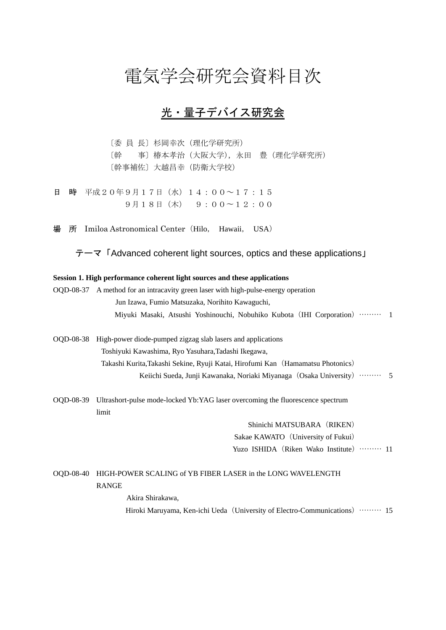## 電気学会研究会資料目次

## 光・量子デバイス研究会

〔委 員 長〕杉岡幸次(理化学研究所) 〔幹 事〕椿本孝治(大阪大学),永田 豊(理化学研究所) 〔幹事補佐〕大越昌幸(防衛大学校)

日 時 平成20年9月17日(水)14:00~17:15 9月18日(木) 9:00〜12:00

所 Imiloa Astronomical Center (Hilo, Hawaii, USA)

テーマ「Advanced coherent light sources, optics and these applications」

## **Session 1. High performance coherent light sources and these applications**

OQD-08-37 A method for an intracavity green laser with high-pulse-energy operation Jun Izawa, Fumio Matsuzaka, Norihito Kawaguchi, Miyuki Masaki, Atsushi Yoshinouchi, Nobuhiko Kubota (IHI Corporation) ……… 1

- OQD-08-38 High-power diode-pumped zigzag slab lasers and applications Toshiyuki Kawashima, Ryo Yasuhara,Tadashi Ikegawa, Takashi Kurita,Takashi Sekine, Ryuji Katai, Hirofumi Kan(Hamamatsu Photonics) Keiichi Sueda, Junji Kawanaka, Noriaki Miyanaga (Osaka University) ……… 5
- OQD-08-39 Ultrashort-pulse mode-locked Yb:YAG laser overcoming the fluorescence spectrum limit

Shinichi MATSUBARA (RIKEN) Sakae KAWATO (University of Fukui) Yuzo ISHIDA (Riken Wako Institute) ……… 11

## OQD-08-40 HIGH-POWER SCALING of YB FIBER LASER in the LONG WAVELENGTH RANGE

 Akira Shirakawa, Hiroki Maruyama, Ken-ichi Ueda (University of Electro-Communications) ……… 15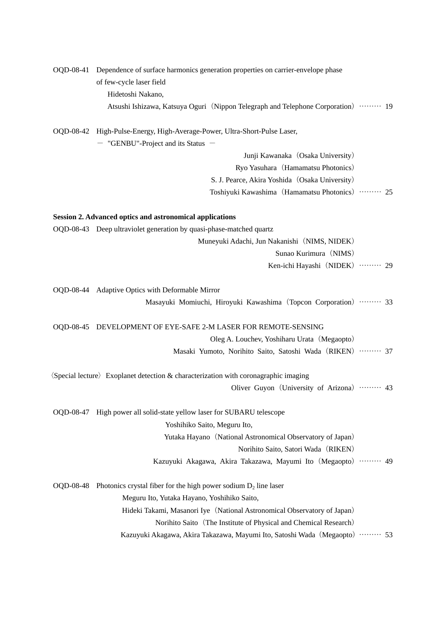|           | OQD-08-41 Dependence of surface harmonics generation properties on carrier-envelope phase<br>of few-cycle laser field |  |
|-----------|-----------------------------------------------------------------------------------------------------------------------|--|
|           | Hidetoshi Nakano,                                                                                                     |  |
|           | Atsushi Ishizawa, Katsuya Oguri (Nippon Telegraph and Telephone Corporation) …… 19                                    |  |
|           | OQD-08-42 High-Pulse-Energy, High-Average-Power, Ultra-Short-Pulse Laser,                                             |  |
|           | - "GENBU"-Project and its Status -                                                                                    |  |
|           | Junji Kawanaka (Osaka University)                                                                                     |  |
|           | Ryo Yasuhara (Hamamatsu Photonics)                                                                                    |  |
|           | S. J. Pearce, Akira Yoshida (Osaka University)                                                                        |  |
|           | Toshiyuki Kawashima (Hamamatsu Photonics)  25                                                                         |  |
|           | Session 2. Advanced optics and astronomical applications                                                              |  |
|           | OQD-08-43 Deep ultraviolet generation by quasi-phase-matched quartz                                                   |  |
|           | Muneyuki Adachi, Jun Nakanishi (NIMS, NIDEK)                                                                          |  |
|           | Sunao Kurimura (NIMS)                                                                                                 |  |
|           | Ken-ichi Hayashi (NIDEK)  29                                                                                          |  |
|           | OQD-08-44 Adaptive Optics with Deformable Mirror                                                                      |  |
|           | Masayuki Momiuchi, Hiroyuki Kawashima (Topcon Corporation)  33                                                        |  |
|           | OQD-08-45 DEVELOPMENT OF EYE-SAFE 2-M LASER FOR REMOTE-SENSING                                                        |  |
|           | Oleg A. Louchev, Yoshiharu Urata (Megaopto)                                                                           |  |
|           | Masaki Yumoto, Norihito Saito, Satoshi Wada (RIKEN) ········· 37                                                      |  |
|           | $\langle$ Special lecture $\rangle$ Exoplanet detection & characterization with coronagraphic imaging                 |  |
|           | Oliver Guyon (University of Arizona)  43                                                                              |  |
|           | OQD-08-47 High power all solid-state yellow laser for SUBARU telescope                                                |  |
|           | Yoshihiko Saito, Meguru Ito,                                                                                          |  |
|           | Yutaka Hayano (National Astronomical Observatory of Japan)                                                            |  |
|           | Norihito Saito, Satori Wada (RIKEN)                                                                                   |  |
|           | Kazuyuki Akagawa, Akira Takazawa, Mayumi Ito (Megaopto)  49                                                           |  |
| OQD-08-48 | Photonics crystal fiber for the high power sodium $D_2$ line laser                                                    |  |
|           | Meguru Ito, Yutaka Hayano, Yoshihiko Saito,                                                                           |  |
|           | Hideki Takami, Masanori Iye (National Astronomical Observatory of Japan)                                              |  |
|           | Norihito Saito (The Institute of Physical and Chemical Research)                                                      |  |
|           | Kazuyuki Akagawa, Akira Takazawa, Mayumi Ito, Satoshi Wada (Megaopto) ……… 53                                          |  |
|           |                                                                                                                       |  |